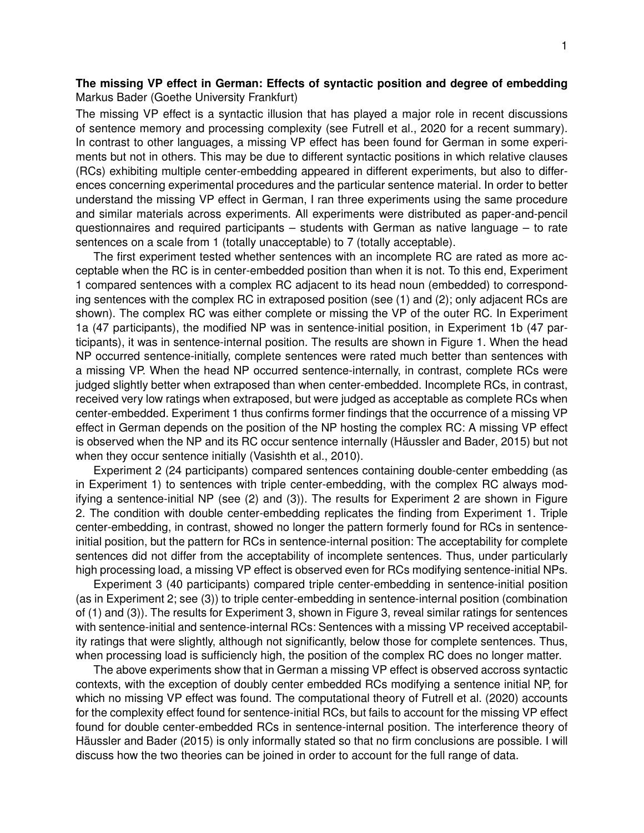## **The missing VP effect in German: Effects of syntactic position and degree of embedding** Markus Bader (Goethe University Frankfurt)

The missing VP effect is a syntactic illusion that has played a major role in recent discussions of sentence memory and processing complexity (see Futrell et al., 2020 for a recent summary). In contrast to other languages, a missing VP effect has been found for German in some experiments but not in others. This may be due to different syntactic positions in which relative clauses (RCs) exhibiting multiple center-embedding appeared in different experiments, but also to differences concerning experimental procedures and the particular sentence material. In order to better understand the missing VP effect in German, I ran three experiments using the same procedure and similar materials across experiments. All experiments were distributed as paper-and-pencil questionnaires and required participants – students with German as native language – to rate sentences on a scale from 1 (totally unacceptable) to 7 (totally acceptable).

The first experiment tested whether sentences with an incomplete RC are rated as more acceptable when the RC is in center-embedded position than when it is not. To this end, Experiment 1 compared sentences with a complex RC adjacent to its head noun (embedded) to corresponding sentences with the complex RC in extraposed position (see (1) and (2); only adjacent RCs are shown). The complex RC was either complete or missing the VP of the outer RC. In Experiment 1a (47 participants), the modified NP was in sentence-initial position, in Experiment 1b (47 participants), it was in sentence-internal position. The results are shown in Figure 1. When the head NP occurred sentence-initially, complete sentences were rated much better than sentences with a missing VP. When the head NP occurred sentence-internally, in contrast, complete RCs were judged slightly better when extraposed than when center-embedded. Incomplete RCs, in contrast, received very low ratings when extraposed, but were judged as acceptable as complete RCs when center-embedded. Experiment 1 thus confirms former findings that the occurrence of a missing VP effect in German depends on the position of the NP hosting the complex RC: A missing VP effect is observed when the NP and its RC occur sentence internally (Häussler and Bader, 2015) but not when they occur sentence initially (Vasishth et al., 2010).

Experiment 2 (24 participants) compared sentences containing double-center embedding (as in Experiment 1) to sentences with triple center-embedding, with the complex RC always modifying a sentence-initial NP (see (2) and (3)). The results for Experiment 2 are shown in Figure 2. The condition with double center-embedding replicates the finding from Experiment 1. Triple center-embedding, in contrast, showed no longer the pattern formerly found for RCs in sentenceinitial position, but the pattern for RCs in sentence-internal position: The acceptability for complete sentences did not differ from the acceptability of incomplete sentences. Thus, under particularly high processing load, a missing VP effect is observed even for RCs modifying sentence-initial NPs.

Experiment 3 (40 participants) compared triple center-embedding in sentence-initial position (as in Experiment 2; see (3)) to triple center-embedding in sentence-internal position (combination of (1) and (3)). The results for Experiment 3, shown in Figure 3, reveal similar ratings for sentences with sentence-initial and sentence-internal RCs: Sentences with a missing VP received acceptability ratings that were slightly, although not significantly, below those for complete sentences. Thus, when processing load is sufficiencly high, the position of the complex RC does no longer matter.

The above experiments show that in German a missing VP effect is observed accross syntactic contexts, with the exception of doubly center embedded RCs modifying a sentence initial NP, for which no missing VP effect was found. The computational theory of Futrell et al. (2020) accounts for the complexity effect found for sentence-initial RCs, but fails to account for the missing VP effect found for double center-embedded RCs in sentence-internal position. The interference theory of Häussler and Bader (2015) is only informally stated so that no firm conclusions are possible. I will discuss how the two theories can be joined in order to account for the full range of data.